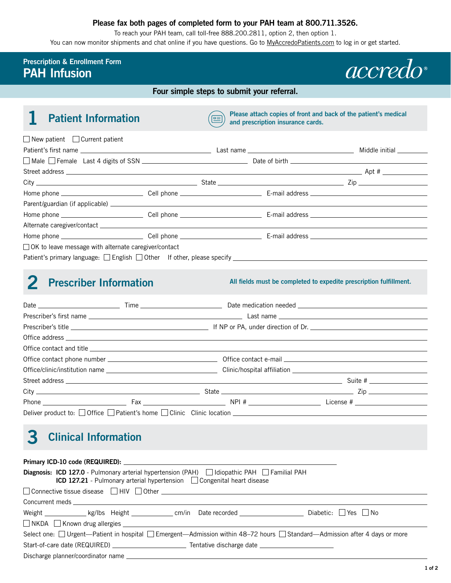#### **Please fax both pages of completed form to your PAH team at 800.711.3526.**

To reach your PAH team, call toll-free 888.200.2811, option 2, then option 1.

You can now monitor shipments and chat online if you have questions. Go to [MyAccredoPatients.com](https://MyAccredoPatients.com) to log in or get started.

### **Prescription & Enrollment Form PAH Infusion**



**Four simple steps to submit your referral.**

**Please attach copies of front and back of the patient's medical and prescription insurance cards. Patient's medical and prescription insurance cards.** 

| $\Box$ New patient $\Box$ Current patient              |  |  |  |
|--------------------------------------------------------|--|--|--|
|                                                        |  |  |  |
|                                                        |  |  |  |
|                                                        |  |  |  |
|                                                        |  |  |  |
|                                                        |  |  |  |
|                                                        |  |  |  |
|                                                        |  |  |  |
|                                                        |  |  |  |
|                                                        |  |  |  |
| □ OK to leave message with alternate caregiver/contact |  |  |  |
|                                                        |  |  |  |

## **2 Prescriber Information**

**All fields must be completed to expedite prescription fulfillment.** 

|                                                                                              |  |  | Phone License # License # License # License # License # License # License # License # License # License # License # License # License # License # License # License # License # License + License + License + License + Licens |  |  |
|----------------------------------------------------------------------------------------------|--|--|--------------------------------------------------------------------------------------------------------------------------------------------------------------------------------------------------------------------------------|--|--|
| Deliver product to: $\Box$ Office $\Box$ Patient's home $\Box$ Clinic Clinic location $\Box$ |  |  |                                                                                                                                                                                                                                |  |  |

# **3 Clinical Information**

| Diagnosis: ICD 127.0 - Pulmonary arterial hypertension (PAH) diopathic PAH Familial PAH<br><b>ICD 127.21</b> - Pulmonary arterial hypertension Congenital heart disease                                                                                                   |  |  |  |  |  |  |
|---------------------------------------------------------------------------------------------------------------------------------------------------------------------------------------------------------------------------------------------------------------------------|--|--|--|--|--|--|
| $\Box$ Connective tissue disease $\Box$ HIV $\Box$ Other $\Box$ and $\Box$ and $\Box$ and $\Box$ and $\Box$ and $\Box$ and $\Box$ and $\Box$ and $\Box$ and $\Box$ and $\Box$ and $\Box$ and $\Box$ and $\Box$ and $\Box$ and $\Box$ and $\Box$ and $\Box$ and $\Box$ and |  |  |  |  |  |  |
|                                                                                                                                                                                                                                                                           |  |  |  |  |  |  |
|                                                                                                                                                                                                                                                                           |  |  |  |  |  |  |
|                                                                                                                                                                                                                                                                           |  |  |  |  |  |  |
| Select one: □ Urgent—Patient in hospital □ Emergent—Admission within 48–72 hours □ Standard—Admission after 4 days or more                                                                                                                                                |  |  |  |  |  |  |
|                                                                                                                                                                                                                                                                           |  |  |  |  |  |  |
|                                                                                                                                                                                                                                                                           |  |  |  |  |  |  |